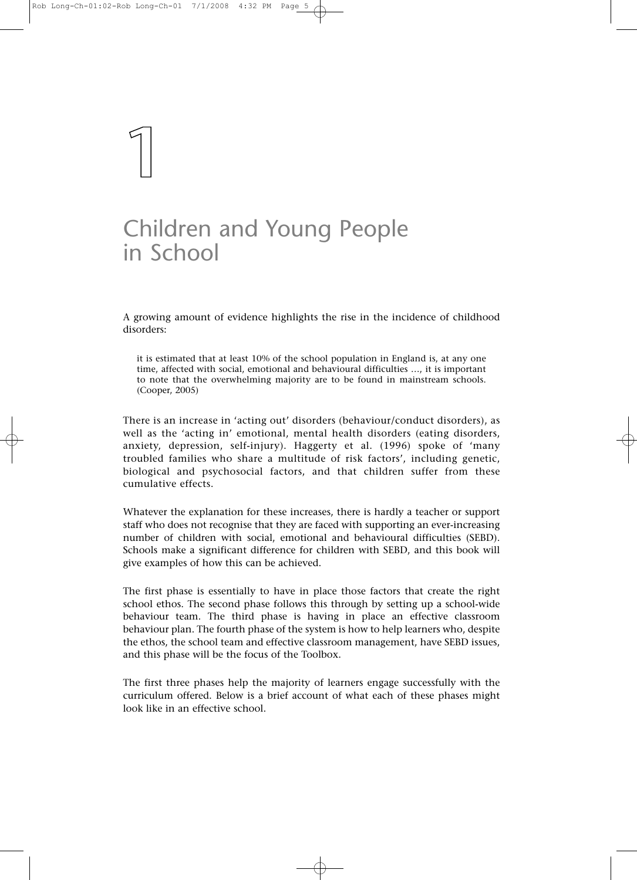**1**

# Children and Young People in School

A growing amount of evidence highlights the rise in the incidence of childhood disorders:

it is estimated that at least 10% of the school population in England is, at any one time, affected with social, emotional and behavioural difficulties …, it is important to note that the overwhelming majority are to be found in mainstream schools. (Cooper, 2005)

There is an increase in 'acting out' disorders (behaviour/conduct disorders), as well as the 'acting in' emotional, mental health disorders (eating disorders, anxiety, depression, self-injury). Haggerty et al. (1996) spoke of 'many troubled families who share a multitude of risk factors', including genetic, biological and psychosocial factors, and that children suffer from these cumulative effects.

Whatever the explanation for these increases, there is hardly a teacher or support staff who does not recognise that they are faced with supporting an ever-increasing number of children with social, emotional and behavioural difficulties (SEBD). Schools make a significant difference for children with SEBD, and this book will give examples of how this can be achieved.

The first phase is essentially to have in place those factors that create the right school ethos. The second phase follows this through by setting up a school-wide behaviour team. The third phase is having in place an effective classroom behaviour plan. The fourth phase of the system is how to help learners who, despite the ethos, the school team and effective classroom management, have SEBD issues, and this phase will be the focus of the Toolbox.

The first three phases help the majority of learners engage successfully with the curriculum offered. Below is a brief account of what each of these phases might look like in an effective school.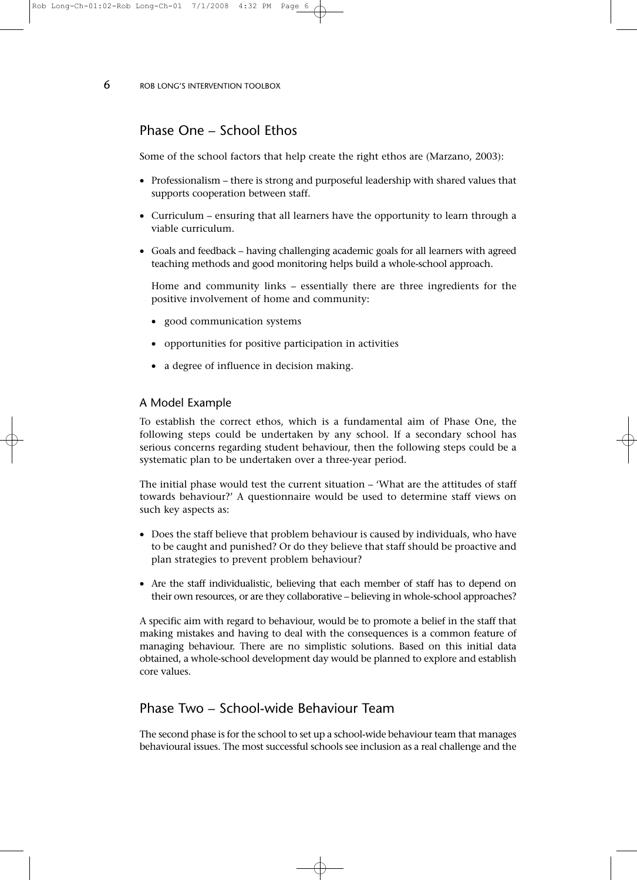**6** ROB LONG'S INTERVENTION TOOLBOX

## Phase One – School Ethos

Some of the school factors that help create the right ethos are (Marzano, 2003):

- Professionalism there is strong and purposeful leadership with shared values that supports cooperation between staff.
- Curriculum ensuring that all learners have the opportunity to learn through a viable curriculum.
- Goals and feedback having challenging academic goals for all learners with agreed teaching methods and good monitoring helps build a whole-school approach.

Home and community links – essentially there are three ingredients for the positive involvement of home and community:

- good communication systems
- opportunities for positive participation in activities
- a degree of influence in decision making.

### A Model Example

To establish the correct ethos, which is a fundamental aim of Phase One, the following steps could be undertaken by any school. If a secondary school has serious concerns regarding student behaviour, then the following steps could be a systematic plan to be undertaken over a three-year period.

The initial phase would test the current situation – 'What are the attitudes of staff towards behaviour?' A questionnaire would be used to determine staff views on such key aspects as:

- Does the staff believe that problem behaviour is caused by individuals, who have to be caught and punished? Or do they believe that staff should be proactive and plan strategies to prevent problem behaviour?
- Are the staff individualistic, believing that each member of staff has to depend on their own resources, or are they collaborative – believing in whole-school approaches?

A specific aim with regard to behaviour, would be to promote a belief in the staff that making mistakes and having to deal with the consequences is a common feature of managing behaviour. There are no simplistic solutions. Based on this initial data obtained, a whole-school development day would be planned to explore and establish core values.

## Phase Two – School-wide Behaviour Team

The second phase is for the school to set up a school-wide behaviour team that manages behavioural issues. The most successful schools see inclusion as a real challenge and the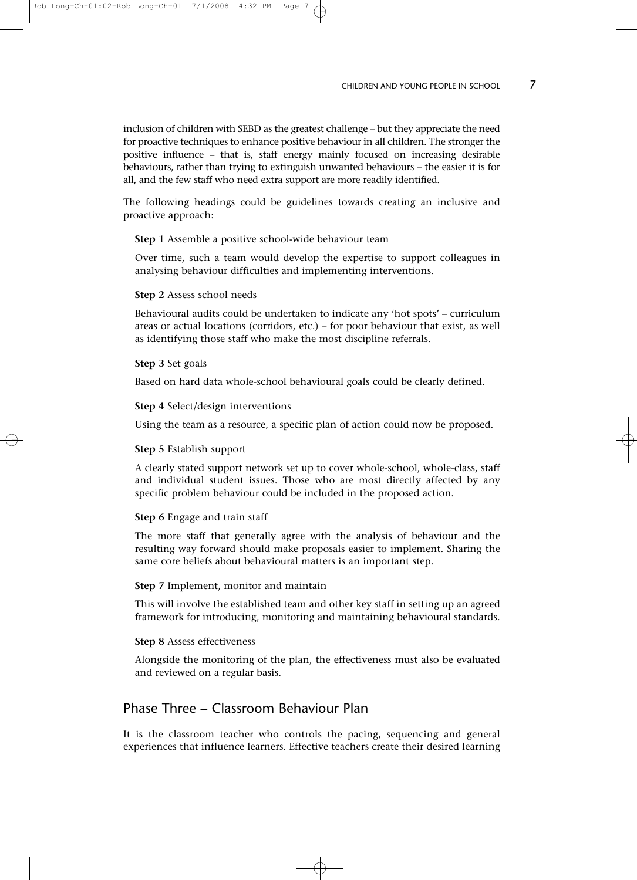inclusion of children with SEBD as the greatest challenge – but they appreciate the need for proactive techniques to enhance positive behaviour in all children. The stronger the positive influence – that is, staff energy mainly focused on increasing desirable behaviours, rather than trying to extinguish unwanted behaviours – the easier it is for all, and the few staff who need extra support are more readily identified.

The following headings could be guidelines towards creating an inclusive and proactive approach:

**Step 1** Assemble a positive school-wide behaviour team

Over time, such a team would develop the expertise to support colleagues in analysing behaviour difficulties and implementing interventions.

#### **Step 2** Assess school needs

Behavioural audits could be undertaken to indicate any 'hot spots' – curriculum areas or actual locations (corridors, etc.) – for poor behaviour that exist, as well as identifying those staff who make the most discipline referrals.

#### **Step 3** Set goals

Based on hard data whole-school behavioural goals could be clearly defined.

**Step 4** Select/design interventions

Using the team as a resource, a specific plan of action could now be proposed.

#### **Step 5** Establish support

A clearly stated support network set up to cover whole-school, whole-class, staff and individual student issues. Those who are most directly affected by any specific problem behaviour could be included in the proposed action.

#### **Step 6** Engage and train staff

The more staff that generally agree with the analysis of behaviour and the resulting way forward should make proposals easier to implement. Sharing the same core beliefs about behavioural matters is an important step.

#### **Step 7** Implement, monitor and maintain

This will involve the established team and other key staff in setting up an agreed framework for introducing, monitoring and maintaining behavioural standards.

#### **Step 8** Assess effectiveness

Alongside the monitoring of the plan, the effectiveness must also be evaluated and reviewed on a regular basis.

## Phase Three – Classroom Behaviour Plan

It is the classroom teacher who controls the pacing, sequencing and general experiences that influence learners. Effective teachers create their desired learning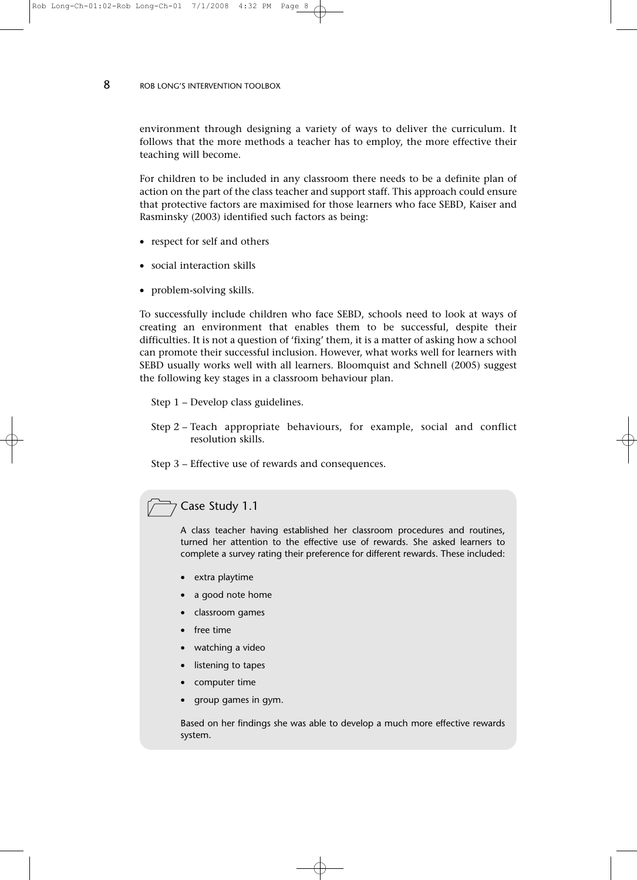8 ROB LONG'S INTERVENTION TOOLBOX

environment through designing a variety of ways to deliver the curriculum. It follows that the more methods a teacher has to employ, the more effective their teaching will become.

For children to be included in any classroom there needs to be a definite plan of action on the part of the class teacher and support staff. This approach could ensure that protective factors are maximised for those learners who face SEBD, Kaiser and Rasminsky (2003) identified such factors as being:

- respect for self and others
- social interaction skills
- problem-solving skills.

To successfully include children who face SEBD, schools need to look at ways of creating an environment that enables them to be successful, despite their difficulties. It is not a question of 'fixing' them, it is a matter of asking how a school can promote their successful inclusion. However, what works well for learners with SEBD usually works well with all learners. Bloomquist and Schnell (2005) suggest the following key stages in a classroom behaviour plan.

Step 1 – Develop class guidelines.

Step 2 – Teach appropriate behaviours, for example, social and conflict resolution skills.

Step 3 – Effective use of rewards and consequences.

## Case Study 1.1

A class teacher having established her classroom procedures and routines, turned her attention to the effective use of rewards. She asked learners to complete a survey rating their preference for different rewards. These included:

- extra playtime
- a good note home
- classroom games
- free time
- watching a video
- listening to tapes
- computer time
- group games in gym.

Based on her findings she was able to develop a much more effective rewards system.